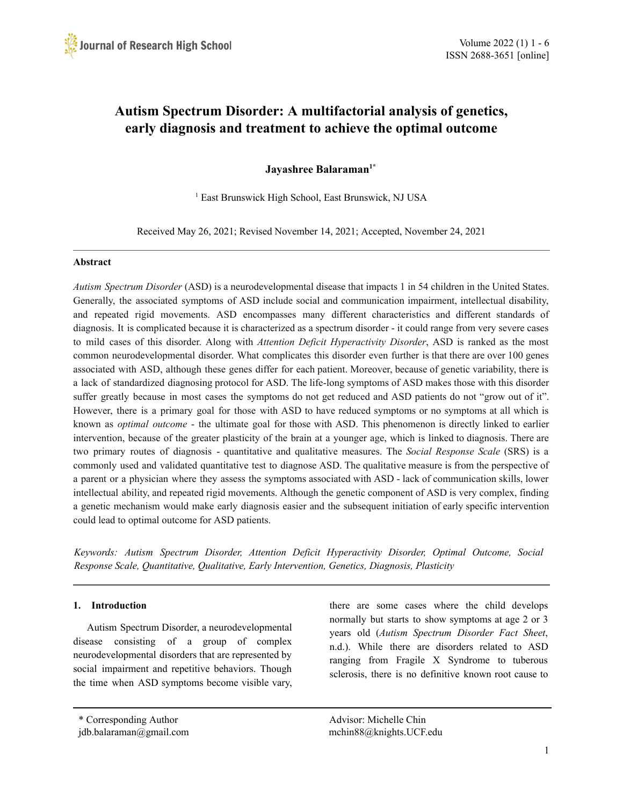# **Autism Spectrum Disorder: A multifactorial analysis of genetics, early diagnosis and treatment to achieve the optimal outcome**

**Jayashree Balaraman 1\***

<sup>1</sup> East Brunswick High School, East Brunswick, NJ USA

Received May 26, 2021; Revised November 14, 2021; Accepted, November 24, 2021

### **Abstract**

*Autism Spectrum Disorder* (ASD) is a neurodevelopmental disease that impacts 1 in 54 children in the United States. Generally, the associated symptoms of ASD include social and communication impairment, intellectual disability, and repeated rigid movements. ASD encompasses many different characteristics and different standards of diagnosis. It is complicated because it is characterized as a spectrum disorder - it could range from very severe cases to mild cases of this disorder. Along with *Attention Deficit Hyperactivity Disorder*, ASD is ranked as the most common neurodevelopmental disorder. What complicates this disorder even further is that there are over 100 genes associated with ASD, although these genes differ for each patient. Moreover, because of genetic variability, there is a lack of standardized diagnosing protocol for ASD. The life-long symptoms of ASD makes those with this disorder suffer greatly because in most cases the symptoms do not get reduced and ASD patients do not "grow out of it". However, there is a primary goal for those with ASD to have reduced symptoms or no symptoms at all which is known as *optimal outcome* - the ultimate goal for those with ASD. This phenomenon is directly linked to earlier intervention, because of the greater plasticity of the brain at a younger age, which is linked to diagnosis. There are two primary routes of diagnosis - quantitative and qualitative measures. The *Social Response Scale* (SRS) is a commonly used and validated quantitative test to diagnose ASD. The qualitative measure is from the perspective of a parent or a physician where they assess the symptoms associated with ASD - lack of communication skills, lower intellectual ability, and repeated rigid movements. Although the genetic component of ASD is very complex, finding a genetic mechanism would make early diagnosis easier and the subsequent initiation of early specific intervention could lead to optimal outcome for ASD patients.

*Keywords: Autism Spectrum Disorder, Attention Deficit Hyperactivity Disorder, Optimal Outcome, Social Response Scale, Quantitative, Qualitative, Early Intervention, Genetics, Diagnosis, Plasticity*

# **1. Introduction**

Autism Spectrum Disorder, a neurodevelopmental disease consisting of a group of complex neurodevelopmental disorders that are represented by social impairment and repetitive behaviors. Though the time when ASD symptoms become visible vary,

there are some cases where the child develops normally but starts to show symptoms at age 2 or 3 years old (*Autism Spectrum Disorder Fact Sheet*, n.d.). While there are disorders related to ASD ranging from Fragile X Syndrome to tuberous sclerosis, there is no definitive known root cause to

\* Corresponding Author Advisor: Michelle Chin jdb.balaraman@gmail.com mchin88@knights.UCF.edu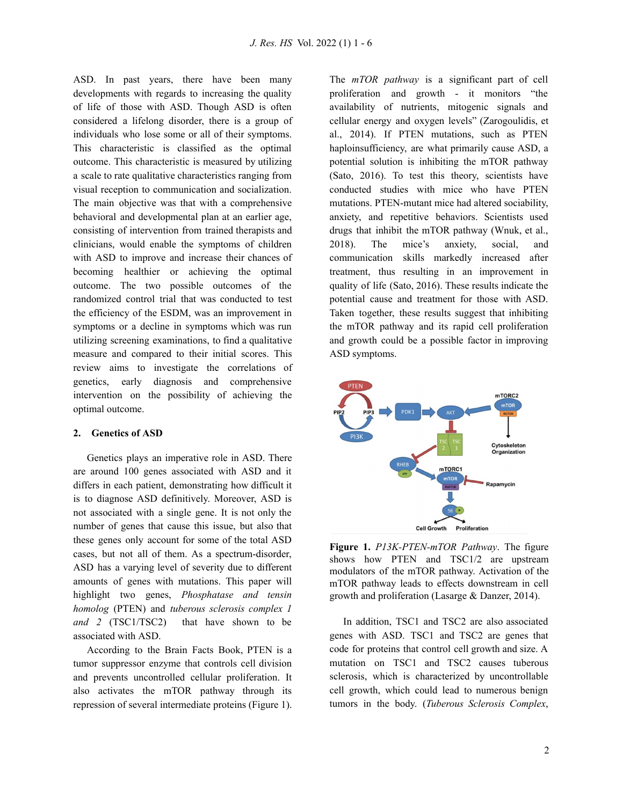ASD. In past years, there have been many developments with regards to increasing the quality of life of those with ASD. Though ASD is often considered a lifelong disorder, there is a group of individuals who lose some or all of their symptoms. This characteristic is classified as the optimal outcome. This characteristic is measured by utilizing a scale to rate qualitative characteristics ranging from visual reception to communication and socialization. The main objective was that with a comprehensive behavioral and developmental plan at an earlier age, consisting of intervention from trained therapists and clinicians, would enable the symptoms of children with ASD to improve and increase their chances of becoming healthier or achieving the optimal outcome. The two possible outcomes of the randomized control trial that was conducted to test the efficiency of the ESDM, was an improvement in symptoms or a decline in symptoms which was run utilizing screening examinations, to find a qualitative measure and compared to their initial scores. This review aims to investigate the correlations of genetics, early diagnosis and comprehensive intervention on the possibility of achieving the optimal outcome.

### **2. Genetics of ASD**

Genetics plays an imperative role in ASD. There are around 100 genes associated with ASD and it differs in each patient, demonstrating how difficult it is to diagnose ASD definitively. Moreover, ASD is not associated with a single gene. It is not only the number of genes that cause this issue, but also that these genes only account for some of the total ASD cases, but not all of them. As a spectrum-disorder, ASD has a varying level of severity due to different amounts of genes with mutations. This paper will highlight two genes, *Phosphatase and tensin homolog* (PTEN) and *tuberous sclerosis complex 1 and 2* (TSC1/TSC2) that have shown to be associated with ASD.

According to the Brain Facts Book, PTEN is a tumor suppressor enzyme that controls cell division and prevents uncontrolled cellular proliferation. It also activates the mTOR pathway through its repression of several intermediate proteins (Figure 1). The *mTOR pathway* is a significant part of cell proliferation and growth - it monitors "the availability of nutrients, mitogenic signals and cellular energy and oxygen levels" (Zarogoulidis, et al., 2014). If PTEN mutations, such as PTEN haploinsufficiency, are what primarily cause ASD, a potential solution is inhibiting the mTOR pathway (Sato, 2016). To test this theory, scientists have conducted studies with mice who have PTEN mutations. PTEN-mutant mice had altered sociability, anxiety, and repetitive behaviors. Scientists used drugs that inhibit the mTOR pathway (Wnuk, et al., 2018). The mice's anxiety, social, and communication skills markedly increased after treatment, thus resulting in an improvement in quality of life (Sato, 2016). These results indicate the potential cause and treatment for those with ASD. Taken together, these results suggest that inhibiting the mTOR pathway and its rapid cell proliferation and growth could be a possible factor in improving ASD symptoms.



**Figure 1.** *P13K-PTEN-mTOR Pathway*. The figure shows how PTEN and TSC1/2 are upstream modulators of the mTOR pathway. Activation of the mTOR pathway leads to effects downstream in cell growth and proliferation (Lasarge & Danzer, 2014).

In addition, TSC1 and TSC2 are also associated genes with ASD. TSC1 and TSC2 are genes that code for proteins that control cell growth and size. A mutation on TSC1 and TSC2 causes tuberous sclerosis, which is characterized by uncontrollable cell growth, which could lead to numerous benign tumors in the body. (*Tuberous Sclerosis Complex*,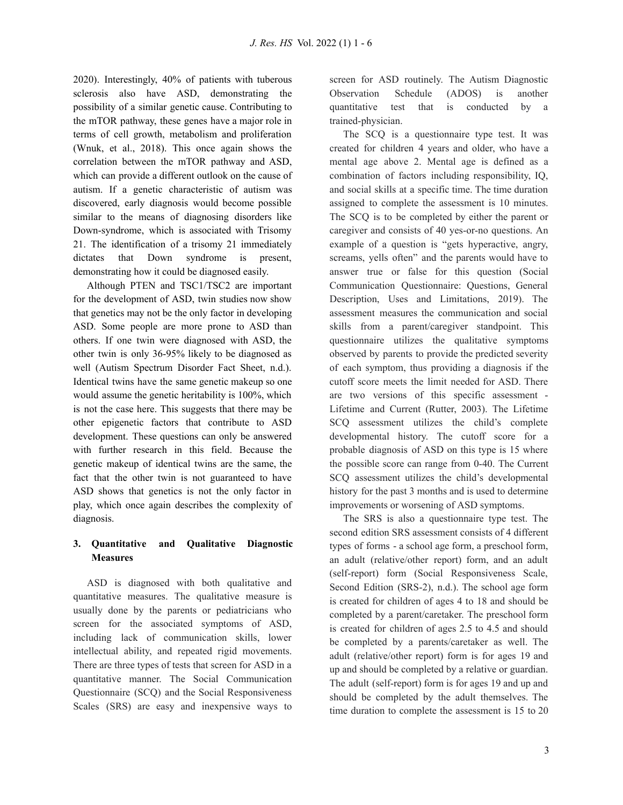2020). Interestingly, 40% of patients with tuberous sclerosis also have ASD, demonstrating the possibility of a similar genetic cause. Contributing to the mTOR pathway, these genes have a major role in terms of cell growth, metabolism and proliferation (Wnuk, et al., 2018). This once again shows the correlation between the mTOR pathway and ASD, which can provide a different outlook on the cause of autism. If a genetic characteristic of autism was discovered, early diagnosis would become possible similar to the means of diagnosing disorders like Down-syndrome, which is associated with Trisomy 21. The identification of a trisomy 21 immediately dictates that Down syndrome is present, demonstrating how it could be diagnosed easily.

Although PTEN and TSC1/TSC2 are important for the development of ASD, twin studies now show that genetics may not be the only factor in developing ASD. Some people are more prone to ASD than others. If one twin were diagnosed with ASD, the other twin is only 36-95% likely to be diagnosed as well (Autism Spectrum Disorder Fact Sheet, n.d.). Identical twins have the same genetic makeup so one would assume the genetic heritability is 100%, which is not the case here. This suggests that there may be other epigenetic factors that contribute to ASD development. These questions can only be answered with further research in this field. Because the genetic makeup of identical twins are the same, the fact that the other twin is not guaranteed to have ASD shows that genetics is not the only factor in play, which once again describes the complexity of diagnosis.

# **3. Quantitative and Qualitative Diagnostic Measures**

ASD is diagnosed with both qualitative and quantitative measures. The qualitative measure is usually done by the parents or pediatricians who screen for the associated symptoms of ASD, including lack of communication skills, lower intellectual ability, and repeated rigid movements. There are three types of tests that screen for ASD in a quantitative manner. The Social Communication Questionnaire (SCQ) and the Social Responsiveness Scales (SRS) are easy and inexpensive ways to screen for ASD routinely. The Autism Diagnostic Observation Schedule (ADOS) is another quantitative test that is conducted by a trained-physician.

The SCQ is a questionnaire type test. It was created for children 4 years and older, who have a mental age above 2. Mental age is defined as a combination of factors including responsibility, IQ, and social skills at a specific time. The time duration assigned to complete the assessment is 10 minutes. The SCQ is to be completed by either the parent or caregiver and consists of 40 yes-or-no questions. An example of a question is "gets hyperactive, angry, screams, yells often" and the parents would have to answer true or false for this question (Social Communication Questionnaire: Questions, General Description, Uses and Limitations, 2019). The assessment measures the communication and social skills from a parent/caregiver standpoint. This questionnaire utilizes the qualitative symptoms observed by parents to provide the predicted severity of each symptom, thus providing a diagnosis if the cutoff score meets the limit needed for ASD. There are two versions of this specific assessment - Lifetime and Current (Rutter, 2003). The Lifetime SCQ assessment utilizes the child's complete developmental history. The cutoff score for a probable diagnosis of ASD on this type is 15 where the possible score can range from 0-40. The Current SCQ assessment utilizes the child's developmental history for the past 3 months and is used to determine improvements or worsening of ASD symptoms.

The SRS is also a questionnaire type test. The second edition SRS assessment consists of 4 different types of forms - a school age form, a preschool form, an adult (relative/other report) form, and an adult (self-report) form (Social Responsiveness Scale, Second Edition (SRS-2), n.d.). The school age form is created for children of ages 4 to 18 and should be completed by a parent/caretaker. The preschool form is created for children of ages 2.5 to 4.5 and should be completed by a parents/caretaker as well. The adult (relative/other report) form is for ages 19 and up and should be completed by a relative or guardian. The adult (self-report) form is for ages 19 and up and should be completed by the adult themselves. The time duration to complete the assessment is 15 to 20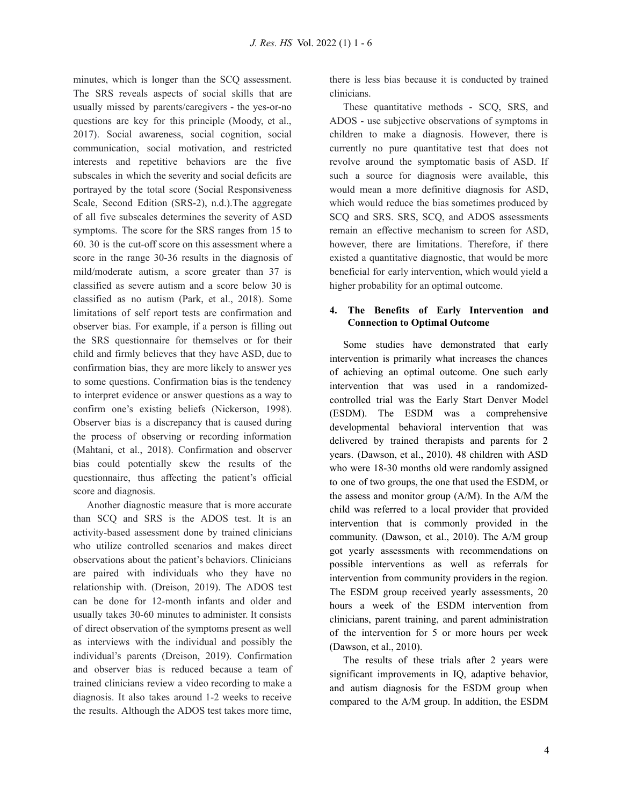minutes, which is longer than the SCQ assessment. The SRS reveals aspects of social skills that are usually missed by parents/caregivers - the yes-or-no questions are key for this principle (Moody, et al., 2017). Social awareness, social cognition, social communication, social motivation, and restricted interests and repetitive behaviors are the five subscales in which the severity and social deficits are portrayed by the total score (Social Responsiveness Scale, Second Edition (SRS-2), n.d.).The aggregate of all five subscales determines the severity of ASD symptoms. The score for the SRS ranges from 15 to 60. 30 is the cut-off score on this assessment where a score in the range 30-36 results in the diagnosis of mild/moderate autism, a score greater than 37 is classified as severe autism and a score below 30 is classified as no autism (Park, et al., 2018). Some limitations of self report tests are confirmation and observer bias. For example, if a person is filling out the SRS questionnaire for themselves or for their child and firmly believes that they have ASD, due to confirmation bias, they are more likely to answer yes to some questions. Confirmation bias is the tendency to interpret evidence or answer questions as a way to confirm one's existing beliefs (Nickerson, 1998). Observer bias is a discrepancy that is caused during the process of observing or recording information (Mahtani, et al., 2018). Confirmation and observer bias could potentially skew the results of the questionnaire, thus affecting the patient's official score and diagnosis.

Another diagnostic measure that is more accurate than SCQ and SRS is the ADOS test. It is an activity-based assessment done by trained clinicians who utilize controlled scenarios and makes direct observations about the patient's behaviors. Clinicians are paired with individuals who they have no relationship with. (Dreison, 2019). The ADOS test can be done for 12-month infants and older and usually takes 30-60 minutes to administer. It consists of direct observation of the symptoms present as well as interviews with the individual and possibly the individual's parents (Dreison, 2019). Confirmation and observer bias is reduced because a team of trained clinicians review a video recording to make a diagnosis. It also takes around 1-2 weeks to receive the results. Although the ADOS test takes more time,

there is less bias because it is conducted by trained clinicians.

These quantitative methods - SCQ, SRS, and ADOS - use subjective observations of symptoms in children to make a diagnosis. However, there is currently no pure quantitative test that does not revolve around the symptomatic basis of ASD. If such a source for diagnosis were available, this would mean a more definitive diagnosis for ASD, which would reduce the bias sometimes produced by SCQ and SRS. SRS, SCQ, and ADOS assessments remain an effective mechanism to screen for ASD, however, there are limitations. Therefore, if there existed a quantitative diagnostic, that would be more beneficial for early intervention, which would yield a higher probability for an optimal outcome.

## **4. The Benefits of Early Intervention and Connection to Optimal Outcome**

Some studies have demonstrated that early intervention is primarily what increases the chances of achieving an optimal outcome. One such early intervention that was used in a randomizedcontrolled trial was the Early Start Denver Model (ESDM). The ESDM was a comprehensive developmental behavioral intervention that was delivered by trained therapists and parents for 2 years. (Dawson, et al., 2010). 48 children with ASD who were 18-30 months old were randomly assigned to one of two groups, the one that used the ESDM, or the assess and monitor group (A/M). In the A/M the child was referred to a local provider that provided intervention that is commonly provided in the community. (Dawson, et al., 2010). The A/M group got yearly assessments with recommendations on possible interventions as well as referrals for intervention from community providers in the region. The ESDM group received yearly assessments, 20 hours a week of the ESDM intervention from clinicians, parent training, and parent administration of the intervention for 5 or more hours per week (Dawson, et al., 2010).

The results of these trials after 2 years were significant improvements in IQ, adaptive behavior, and autism diagnosis for the ESDM group when compared to the A/M group. In addition, the ESDM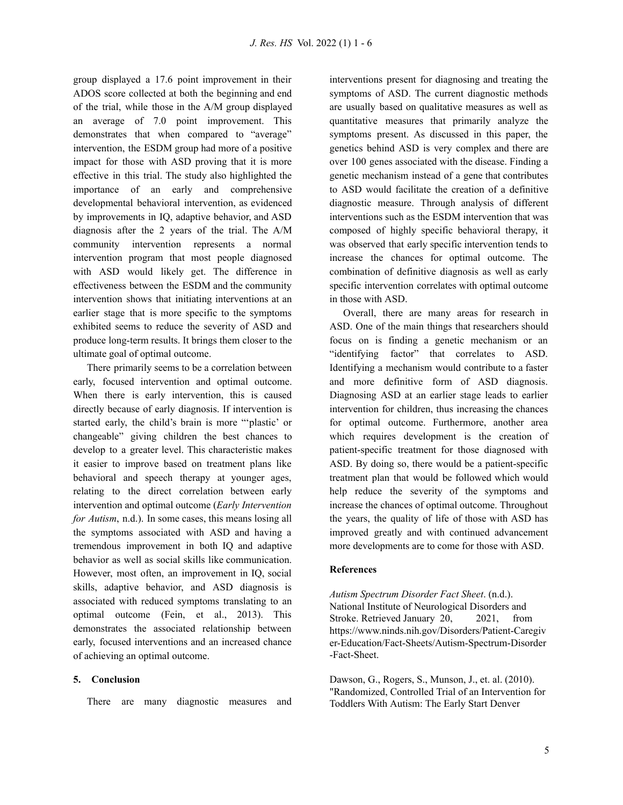group displayed a 17.6 point improvement in their ADOS score collected at both the beginning and end of the trial, while those in the A/M group displayed an average of 7.0 point improvement. This demonstrates that when compared to "average" intervention, the ESDM group had more of a positive impact for those with ASD proving that it is more effective in this trial. The study also highlighted the importance of an early and comprehensive developmental behavioral intervention, as evidenced by improvements in IQ, adaptive behavior, and ASD diagnosis after the 2 years of the trial. The A/M community intervention represents a normal intervention program that most people diagnosed with ASD would likely get. The difference in effectiveness between the ESDM and the community intervention shows that initiating interventions at an earlier stage that is more specific to the symptoms exhibited seems to reduce the severity of ASD and produce long-term results. It brings them closer to the ultimate goal of optimal outcome.

There primarily seems to be a correlation between early, focused intervention and optimal outcome. When there is early intervention, this is caused directly because of early diagnosis. If intervention is started early, the child's brain is more "'plastic' or changeable" giving children the best chances to develop to a greater level. This characteristic makes it easier to improve based on treatment plans like behavioral and speech therapy at younger ages, relating to the direct correlation between early intervention and optimal outcome (*Early Intervention for Autism*, n.d.). In some cases, this means losing all the symptoms associated with ASD and having a tremendous improvement in both IQ and adaptive behavior as well as social skills like communication. However, most often, an improvement in IQ, social skills, adaptive behavior, and ASD diagnosis is associated with reduced symptoms translating to an optimal outcome (Fein, et al., 2013). This demonstrates the associated relationship between early, focused interventions and an increased chance of achieving an optimal outcome.

### **5. Conclusion**

There are many diagnostic measures and

interventions present for diagnosing and treating the symptoms of ASD. The current diagnostic methods are usually based on qualitative measures as well as quantitative measures that primarily analyze the symptoms present. As discussed in this paper, the genetics behind ASD is very complex and there are over 100 genes associated with the disease. Finding a genetic mechanism instead of a gene that contributes to ASD would facilitate the creation of a definitive diagnostic measure. Through analysis of different interventions such as the ESDM intervention that was composed of highly specific behavioral therapy, it was observed that early specific intervention tends to increase the chances for optimal outcome. The combination of definitive diagnosis as well as early specific intervention correlates with optimal outcome in those with ASD.

Overall, there are many areas for research in ASD. One of the main things that researchers should focus on is finding a genetic mechanism or an "identifying factor" that correlates to ASD. Identifying a mechanism would contribute to a faster and more definitive form of ASD diagnosis. Diagnosing ASD at an earlier stage leads to earlier intervention for children, thus increasing the chances for optimal outcome. Furthermore, another area which requires development is the creation of patient-specific treatment for those diagnosed with ASD. By doing so, there would be a patient-specific treatment plan that would be followed which would help reduce the severity of the symptoms and increase the chances of optimal outcome. Throughout the years, the quality of life of those with ASD has improved greatly and with continued advancement more developments are to come for those with ASD.

# **References**

*Autism Spectrum Disorder Fact Sheet*. (n.d.). National Institute of Neurological Disorders and Stroke. Retrieved January 20, 2021, from https://www.ninds.nih.gov/Disorders/Patient-Caregiv er-Education/Fact-Sheets/Autism-Spectrum-Disorder -Fact-Sheet.

Dawson, G., Rogers, S., Munson, J., et. al. (2010). "Randomized, Controlled Trial of an Intervention for Toddlers With Autism: The Early Start Denver